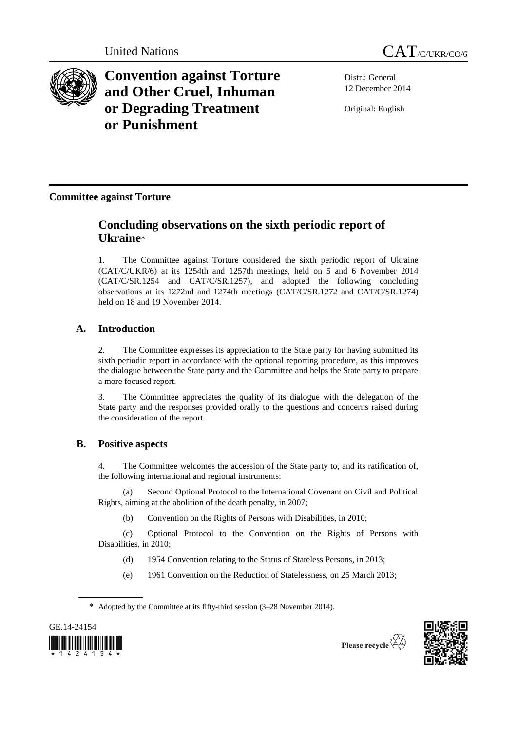



**Convention against Torture and Other Cruel, Inhuman or Degrading Treatment or Punishment**

Distr.: General 12 December 2014

Original: English

**Committee against Torture**

# **Concluding observations on the sixth periodic report of Ukraine**\*

1. The Committee against Torture considered the sixth periodic report of Ukraine (CAT/C/UKR/6) at its 1254th and 1257th meetings, held on 5 and 6 November 2014 (CAT/C/SR.1254 and CAT/C/SR.1257), and adopted the following concluding observations at its 1272nd and 1274th meetings (CAT/C/SR.1272 and CAT/C/SR.1274) held on 18 and 19 November 2014.

# **A. Introduction**

2. The Committee expresses its appreciation to the State party for having submitted its sixth periodic report in accordance with the optional reporting procedure, as this improves the dialogue between the State party and the Committee and helps the State party to prepare a more focused report.

3. The Committee appreciates the quality of its dialogue with the delegation of the State party and the responses provided orally to the questions and concerns raised during the consideration of the report.

# **B. Positive aspects**

4. The Committee welcomes the accession of the State party to, and its ratification of, the following international and regional instruments:

(a) Second Optional Protocol to the International Covenant on Civil and Political Rights, aiming at the abolition of the death penalty, in 2007;

(b) Convention on the Rights of Persons with Disabilities, in 2010;

(c) Optional Protocol to the Convention on the Rights of Persons with Disabilities, in 2010;

- (d) 1954 Convention relating to the Status of Stateless Persons, in 2013;
- (e) 1961 Convention on the Reduction of Statelessness, on 25 March 2013;

<sup>\*</sup> Adopted by the Committee at its fifty-third session (3–28 November 2014).



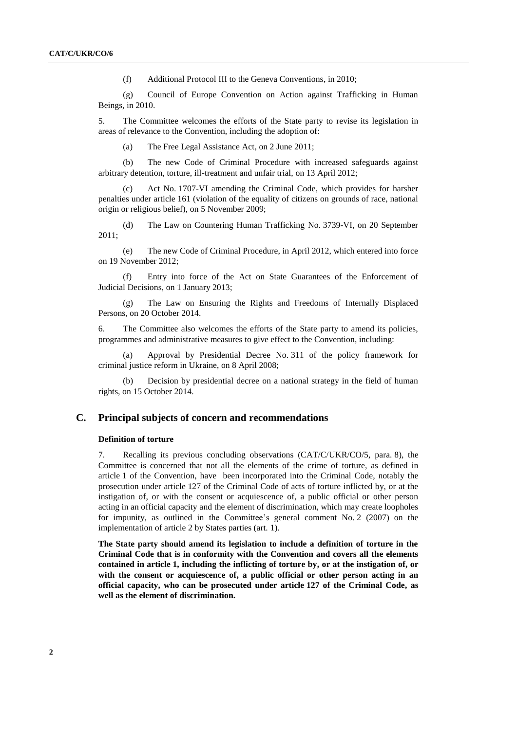(f) Additional Protocol III to the Geneva Conventions, in 2010;

(g) Council of Europe Convention on Action against Trafficking in Human Beings, in 2010.

5. The Committee welcomes the efforts of the State party to revise its legislation in areas of relevance to the Convention, including the adoption of:

(a) The Free Legal Assistance Act, on 2 June 2011;

(b) The new Code of Criminal Procedure with increased safeguards against arbitrary detention, torture, ill-treatment and unfair trial, on 13 April 2012;

(c) Act No. 1707-VI amending the Criminal Code, which provides for harsher penalties under article 161 (violation of the equality of citizens on grounds of race, national origin or religious belief), on 5 November 2009;

(d) The Law on Countering Human Trafficking No. 3739-VI, on 20 September 2011;

(e) The new Code of Criminal Procedure, in April 2012, which entered into force on 19 November 2012;

(f) Entry into force of the Act on State Guarantees of the Enforcement of Judicial Decisions, on 1 January 2013;

(g) The Law on Ensuring the Rights and Freedoms of Internally Displaced Persons, on 20 October 2014.

6. The Committee also welcomes the efforts of the State party to amend its policies, programmes and administrative measures to give effect to the Convention, including:

(a) Approval by Presidential Decree No. 311 of the policy framework for criminal justice reform in Ukraine, on 8 April 2008;

(b) Decision by presidential decree on a national strategy in the field of human rights, on 15 October 2014.

## **C. Principal subjects of concern and recommendations**

#### **Definition of torture**

7. Recalling its previous concluding observations (CAT/C/UKR/CO/5, para. 8), the Committee is concerned that not all the elements of the crime of torture, as defined in article 1 of the Convention, have been incorporated into the Criminal Code, notably the prosecution under article 127 of the Criminal Code of acts of torture inflicted by, or at the instigation of, or with the consent or acquiescence of, a public official or other person acting in an official capacity and the element of discrimination, which may create loopholes for impunity, as outlined in the Committee's general comment No. 2 (2007) on the implementation of article 2 by States parties (art. 1).

**The State party should amend its legislation to include a definition of torture in the Criminal Code that is in conformity with the Convention and covers all the elements contained in article 1, including the inflicting of torture by, or at the instigation of, or with the consent or acquiescence of, a public official or other person acting in an official capacity, who can be prosecuted under article 127 of the Criminal Code, as well as the element of discrimination.**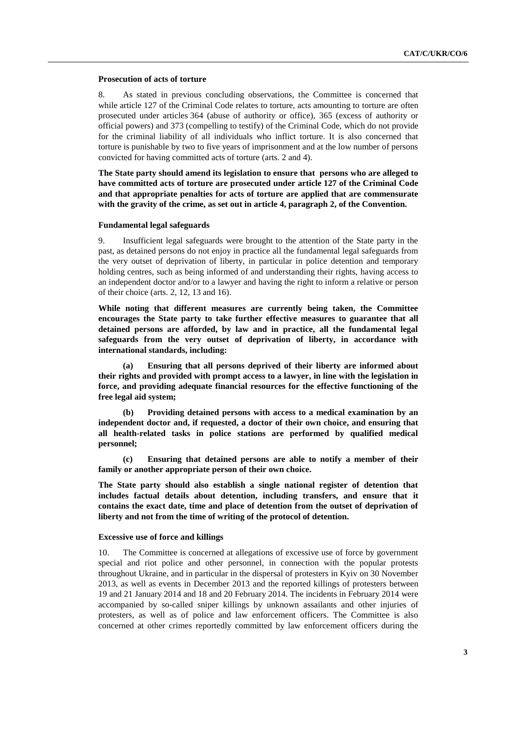#### **Prosecution of acts of torture**

8. As stated in previous concluding observations, the Committee is concerned that while article 127 of the Criminal Code relates to torture, acts amounting to torture are often prosecuted under articles 364 (abuse of authority or office), 365 (excess of authority or official powers) and 373 (compelling to testify) of the Criminal Code, which do not provide for the criminal liability of all individuals who inflict torture. It is also concerned that torture is punishable by two to five years of imprisonment and at the low number of persons convicted for having committed acts of torture (arts. 2 and 4).

**The State party should amend its legislation to ensure that persons who are alleged to have committed acts of torture are prosecuted under article 127 of the Criminal Code and that appropriate penalties for acts of torture are applied that are commensurate with the gravity of the crime, as set out in article 4, paragraph 2, of the Convention.** 

## **Fundamental legal safeguards**

9. Insufficient legal safeguards were brought to the attention of the State party in the past, as detained persons do not enjoy in practice all the fundamental legal safeguards from the very outset of deprivation of liberty, in particular in police detention and temporary holding centres, such as being informed of and understanding their rights, having access to an independent doctor and/or to a lawyer and having the right to inform a relative or person of their choice (arts. 2, 12, 13 and 16).

**While noting that different measures are currently being taken, the Committee encourages the State party to take further effective measures to guarantee that all detained persons are afforded, by law and in practice, all the fundamental legal safeguards from the very outset of deprivation of liberty, in accordance with international standards, including:**

**(a) Ensuring that all persons deprived of their liberty are informed about their rights and provided with prompt access to a lawyer, in line with the legislation in force, and providing adequate financial resources for the effective functioning of the free legal aid system;**

**(b) Providing detained persons with access to a medical examination by an independent doctor and, if requested, a doctor of their own choice, and ensuring that all health-related tasks in police stations are performed by qualified medical personnel;**

**(c) Ensuring that detained persons are able to notify a member of their family or another appropriate person of their own choice.**

**The State party should also establish a single national register of detention that includes factual details about detention, including transfers, and ensure that it contains the exact date, time and place of detention from the outset of deprivation of liberty and not from the time of writing of the protocol of detention.**

#### **Excessive use of force and killings**

10. The Committee is concerned at allegations of excessive use of force by government special and riot police and other personnel, in connection with the popular protests throughout Ukraine, and in particular in the dispersal of protesters in Kyiv on 30 November 2013, as well as events in December 2013 and the reported killings of protesters between 19 and 21 January 2014 and 18 and 20 February 2014. The incidents in February 2014 were accompanied by so-called sniper killings by unknown assailants and other injuries of protesters, as well as of police and law enforcement officers. The Committee is also concerned at other crimes reportedly committed by law enforcement officers during the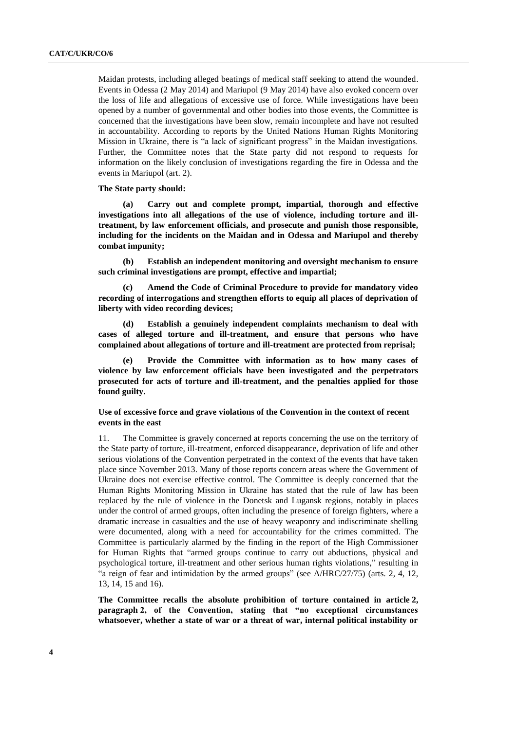Maidan protests, including alleged beatings of medical staff seeking to attend the wounded. Events in Odessa (2 May 2014) and Mariupol (9 May 2014) have also evoked concern over the loss of life and allegations of excessive use of force. While investigations have been opened by a number of governmental and other bodies into those events, the Committee is concerned that the investigations have been slow, remain incomplete and have not resulted in accountability. According to reports by the United Nations Human Rights Monitoring Mission in Ukraine, there is "a lack of significant progress" in the Maidan investigations. Further, the Committee notes that the State party did not respond to requests for information on the likely conclusion of investigations regarding the fire in Odessa and the events in Mariupol (art. 2).

## **The State party should:**

**(a) Carry out and complete prompt, impartial, thorough and effective investigations into all allegations of the use of violence, including torture and illtreatment, by law enforcement officials, and prosecute and punish those responsible, including for the incidents on the Maidan and in Odessa and Mariupol and thereby combat impunity;**

**(b) Establish an independent monitoring and oversight mechanism to ensure such criminal investigations are prompt, effective and impartial;**

**(c) Amend the Code of Criminal Procedure to provide for mandatory video recording of interrogations and strengthen efforts to equip all places of deprivation of liberty with video recording devices;**

**(d) Establish a genuinely independent complaints mechanism to deal with cases of alleged torture and ill-treatment, and ensure that persons who have complained about allegations of torture and ill-treatment are protected from reprisal;**

**(e) Provide the Committee with information as to how many cases of violence by law enforcement officials have been investigated and the perpetrators prosecuted for acts of torture and ill-treatment, and the penalties applied for those found guilty.**

# **Use of excessive force and grave violations of the Convention in the context of recent events in the east**

11. The Committee is gravely concerned at reports concerning the use on the territory of the State party of torture, ill-treatment, enforced disappearance, deprivation of life and other serious violations of the Convention perpetrated in the context of the events that have taken place since November 2013. Many of those reports concern areas where the Government of Ukraine does not exercise effective control. The Committee is deeply concerned that the Human Rights Monitoring Mission in Ukraine has stated that the rule of law has been replaced by the rule of violence in the Donetsk and Lugansk regions, notably in places under the control of armed groups, often including the presence of foreign fighters, where a dramatic increase in casualties and the use of heavy weaponry and indiscriminate shelling were documented, along with a need for accountability for the crimes committed. The Committee is particularly alarmed by the finding in the report of the High Commissioner for Human Rights that "armed groups continue to carry out abductions, physical and psychological torture, ill-treatment and other serious human rights violations," resulting in "a reign of fear and intimidation by the armed groups" (see A/HRC/27/75) (arts. 2, 4, 12, 13, 14, 15 and 16).

**The Committee recalls the absolute prohibition of torture contained in article 2, paragraph 2, of the Convention, stating that "no exceptional circumstances whatsoever, whether a state of war or a threat of war, internal political instability or**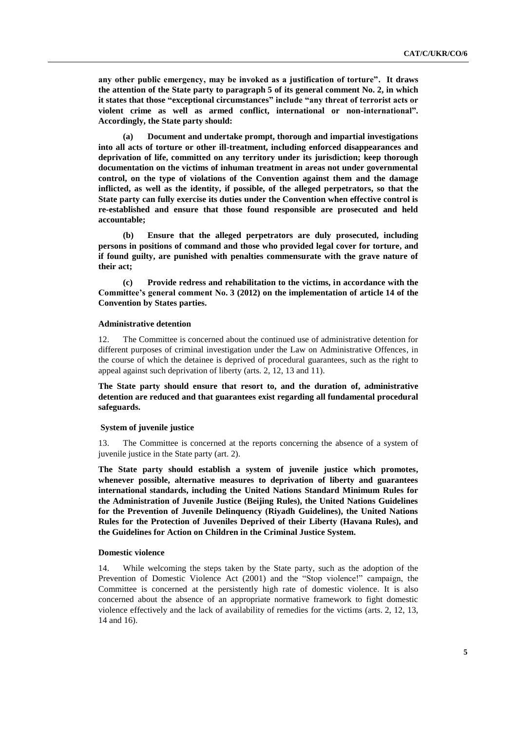**any other public emergency, may be invoked as a justification of torture". It draws the attention of the State party to paragraph 5 of its general comment No. 2, in which it states that those "exceptional circumstances" include "any threat of terrorist acts or violent crime as well as armed conflict, international or non-international". Accordingly, the State party should:**

**(a) Document and undertake prompt, thorough and impartial investigations into all acts of torture or other ill-treatment, including enforced disappearances and deprivation of life, committed on any territory under its jurisdiction; keep thorough documentation on the victims of inhuman treatment in areas not under governmental control, on the type of violations of the Convention against them and the damage inflicted, as well as the identity, if possible, of the alleged perpetrators, so that the State party can fully exercise its duties under the Convention when effective control is re-established and ensure that those found responsible are prosecuted and held accountable;**

**(b) Ensure that the alleged perpetrators are duly prosecuted, including persons in positions of command and those who provided legal cover for torture, and if found guilty, are punished with penalties commensurate with the grave nature of their act;**

**(c) Provide redress and rehabilitation to the victims, in accordance with the Committee's general comment No. 3 (2012) on the implementation of article 14 of the Convention by States parties.**

#### **Administrative detention**

12. The Committee is concerned about the continued use of administrative detention for different purposes of criminal investigation under the Law on Administrative Offences, in the course of which the detainee is deprived of procedural guarantees, such as the right to appeal against such deprivation of liberty (arts. 2, 12, 13 and 11).

**The State party should ensure that resort to, and the duration of, administrative detention are reduced and that guarantees exist regarding all fundamental procedural safeguards.**

#### **System of juvenile justice**

13. The Committee is concerned at the reports concerning the absence of a system of juvenile justice in the State party (art. 2).

**The State party should establish a system of juvenile justice which promotes, whenever possible, alternative measures to deprivation of liberty and guarantees international standards, including the United Nations Standard Minimum Rules for the Administration of Juvenile Justice (Beijing Rules), the United Nations Guidelines for the Prevention of Juvenile Delinquency (Riyadh Guidelines), the United Nations Rules for the Protection of Juveniles Deprived of their Liberty (Havana Rules), and the Guidelines for Action on Children in the Criminal Justice System.** 

#### **Domestic violence**

14. While welcoming the steps taken by the State party, such as the adoption of the Prevention of Domestic Violence Act (2001) and the "Stop violence!" campaign, the Committee is concerned at the persistently high rate of domestic violence. It is also concerned about the absence of an appropriate normative framework to fight domestic violence effectively and the lack of availability of remedies for the victims (arts. 2, 12, 13, 14 and 16).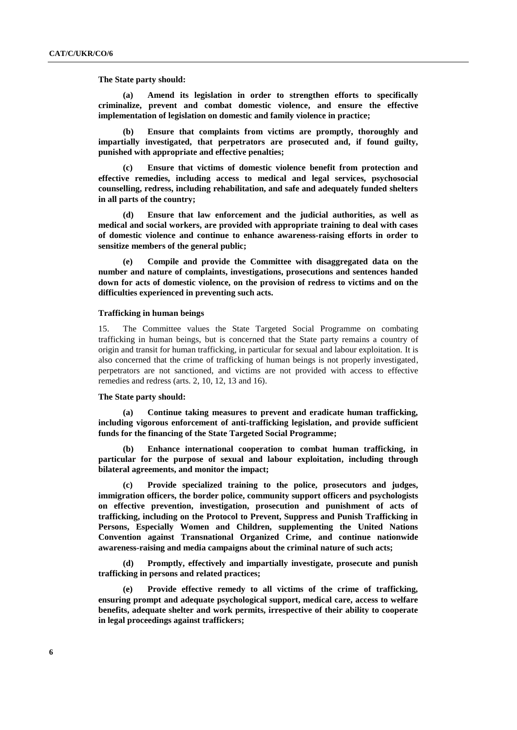**The State party should:**

**(a) Amend its legislation in order to strengthen efforts to specifically criminalize, prevent and combat domestic violence, and ensure the effective implementation of legislation on domestic and family violence in practice;**

**(b) Ensure that complaints from victims are promptly, thoroughly and impartially investigated, that perpetrators are prosecuted and, if found guilty, punished with appropriate and effective penalties;**

**(c) Ensure that victims of domestic violence benefit from protection and effective remedies, including access to medical and legal services, psychosocial counselling, redress, including rehabilitation, and safe and adequately funded shelters in all parts of the country;**

**(d) Ensure that law enforcement and the judicial authorities, as well as medical and social workers, are provided with appropriate training to deal with cases of domestic violence and continue to enhance awareness-raising efforts in order to sensitize members of the general public;**

**(e) Compile and provide the Committee with disaggregated data on the number and nature of complaints, investigations, prosecutions and sentences handed down for acts of domestic violence, on the provision of redress to victims and on the difficulties experienced in preventing such acts.**

#### **Trafficking in human beings**

15. The Committee values the State Targeted Social Programme on combating trafficking in human beings, but is concerned that the State party remains a country of origin and transit for human trafficking, in particular for sexual and labour exploitation. It is also concerned that the crime of trafficking of human beings is not properly investigated, perpetrators are not sanctioned, and victims are not provided with access to effective remedies and redress (arts. 2, 10, 12, 13 and 16).

# **The State party should:**

**(a) Continue taking measures to prevent and eradicate human trafficking, including vigorous enforcement of anti-trafficking legislation, and provide sufficient funds for the financing of the State Targeted Social Programme;**

**(b) Enhance international cooperation to combat human trafficking, in particular for the purpose of sexual and labour exploitation, including through bilateral agreements, and monitor the impact;**

**(c) Provide specialized training to the police, prosecutors and judges, immigration officers, the border police, community support officers and psychologists on effective prevention, investigation, prosecution and punishment of acts of trafficking, including on the Protocol to Prevent, Suppress and Punish Trafficking in Persons, Especially Women and Children, supplementing the United Nations Convention against Transnational Organized Crime, and continue nationwide awareness-raising and media campaigns about the criminal nature of such acts;**

**(d) Promptly, effectively and impartially investigate, prosecute and punish trafficking in persons and related practices;** 

**(e) Provide effective remedy to all victims of the crime of trafficking, ensuring prompt and adequate psychological support, medical care, access to welfare benefits, adequate shelter and work permits, irrespective of their ability to cooperate in legal proceedings against traffickers;**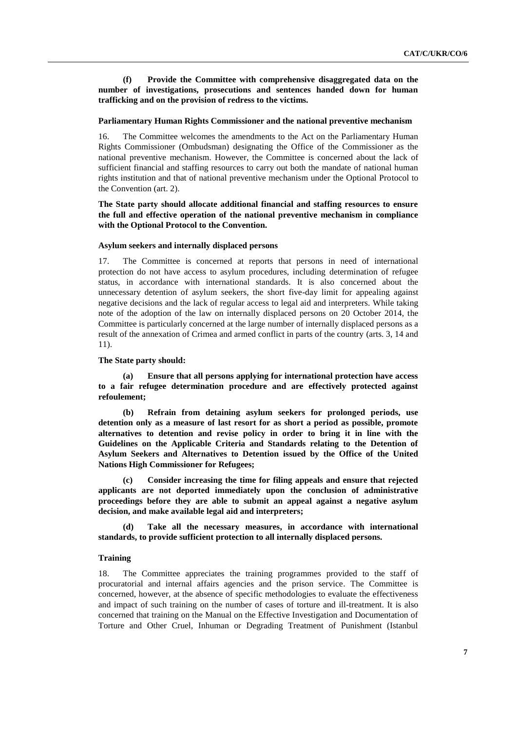**(f) Provide the Committee with comprehensive disaggregated data on the number of investigations, prosecutions and sentences handed down for human trafficking and on the provision of redress to the victims.**

#### **Parliamentary Human Rights Commissioner and the national preventive mechanism**

16. The Committee welcomes the amendments to the Act on the Parliamentary Human Rights Commissioner (Ombudsman) designating the Office of the Commissioner as the national preventive mechanism. However, the Committee is concerned about the lack of sufficient financial and staffing resources to carry out both the mandate of national human rights institution and that of national preventive mechanism under the Optional Protocol to the Convention (art. 2).

# **The State party should allocate additional financial and staffing resources to ensure the full and effective operation of the national preventive mechanism in compliance with the Optional Protocol to the Convention.**

#### **Asylum seekers and internally displaced persons**

17. The Committee is concerned at reports that persons in need of international protection do not have access to asylum procedures, including determination of refugee status, in accordance with international standards. It is also concerned about the unnecessary detention of asylum seekers, the short five-day limit for appealing against negative decisions and the lack of regular access to legal aid and interpreters. While taking note of the adoption of the law on internally displaced persons on 20 October 2014, the Committee is particularly concerned at the large number of internally displaced persons as a result of the annexation of Crimea and armed conflict in parts of the country (arts. 3, 14 and 11).

#### **The State party should:**

**(a) Ensure that all persons applying for international protection have access to a fair refugee determination procedure and are effectively protected against refoulement;**

**(b) Refrain from detaining asylum seekers for prolonged periods, use detention only as a measure of last resort for as short a period as possible, promote alternatives to detention and revise policy in order to bring it in line with the Guidelines on the Applicable Criteria and Standards relating to the Detention of Asylum Seekers and Alternatives to Detention issued by the Office of the United Nations High Commissioner for Refugees;**

**(c) Consider increasing the time for filing appeals and ensure that rejected applicants are not deported immediately upon the conclusion of administrative proceedings before they are able to submit an appeal against a negative asylum decision, and make available legal aid and interpreters;**

**(d) Take all the necessary measures, in accordance with international standards, to provide sufficient protection to all internally displaced persons.**

### **Training**

18. The Committee appreciates the training programmes provided to the staff of procuratorial and internal affairs agencies and the prison service. The Committee is concerned, however, at the absence of specific methodologies to evaluate the effectiveness and impact of such training on the number of cases of torture and ill-treatment. It is also concerned that training on the Manual on the Effective Investigation and Documentation of Torture and Other Cruel, Inhuman or Degrading Treatment of Punishment (Istanbul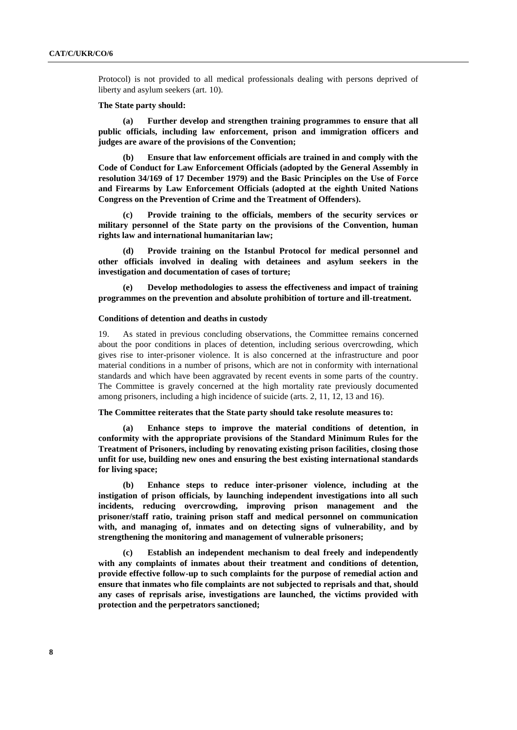Protocol) is not provided to all medical professionals dealing with persons deprived of liberty and asylum seekers (art. 10).

#### **The State party should:**

**(a) Further develop and strengthen training programmes to ensure that all public officials, including law enforcement, prison and immigration officers and judges are aware of the provisions of the Convention;** 

**(b) Ensure that law enforcement officials are trained in and comply with the Code of Conduct for Law Enforcement Officials (adopted by the General Assembly in resolution 34/169 of 17 December 1979) and the Basic Principles on the Use of Force and Firearms by Law Enforcement Officials (adopted at the eighth United Nations Congress on the Prevention of Crime and the Treatment of Offenders).**

**(c) Provide training to the officials, members of the security services or military personnel of the State party on the provisions of the Convention, human rights law and international humanitarian law;**

**(d) Provide training on the Istanbul Protocol for medical personnel and other officials involved in dealing with detainees and asylum seekers in the investigation and documentation of cases of torture;** 

**(e) Develop methodologies to assess the effectiveness and impact of training programmes on the prevention and absolute prohibition of torture and ill-treatment.**

#### **Conditions of detention and deaths in custody**

19. As stated in previous concluding observations, the Committee remains concerned about the poor conditions in places of detention, including serious overcrowding, which gives rise to inter-prisoner violence. It is also concerned at the infrastructure and poor material conditions in a number of prisons, which are not in conformity with international standards and which have been aggravated by recent events in some parts of the country. The Committee is gravely concerned at the high mortality rate previously documented among prisoners, including a high incidence of suicide (arts. 2, 11, 12, 13 and 16).

## **The Committee reiterates that the State party should take resolute measures to:**

**(a) Enhance steps to improve the material conditions of detention, in conformity with the appropriate provisions of the Standard Minimum Rules for the Treatment of Prisoners, including by renovating existing prison facilities, closing those unfit for use, building new ones and ensuring the best existing international standards for living space;**

**(b) Enhance steps to reduce inter-prisoner violence, including at the instigation of prison officials, by launching independent investigations into all such incidents, reducing overcrowding, improving prison management and the prisoner/staff ratio, training prison staff and medical personnel on communication with, and managing of, inmates and on detecting signs of vulnerability, and by strengthening the monitoring and management of vulnerable prisoners;**

**(c) Establish an independent mechanism to deal freely and independently with any complaints of inmates about their treatment and conditions of detention, provide effective follow-up to such complaints for the purpose of remedial action and ensure that inmates who file complaints are not subjected to reprisals and that, should any cases of reprisals arise, investigations are launched, the victims provided with protection and the perpetrators sanctioned;**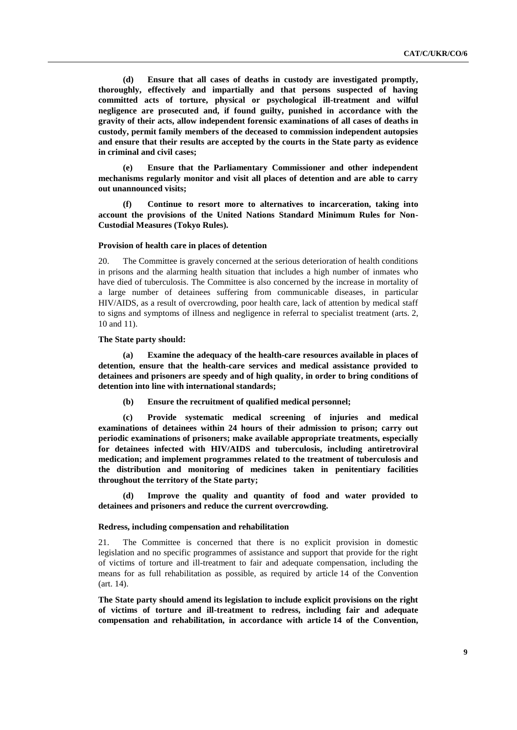**(d) Ensure that all cases of deaths in custody are investigated promptly, thoroughly, effectively and impartially and that persons suspected of having committed acts of torture, physical or psychological ill-treatment and wilful negligence are prosecuted and, if found guilty, punished in accordance with the gravity of their acts, allow independent forensic examinations of all cases of deaths in custody, permit family members of the deceased to commission independent autopsies and ensure that their results are accepted by the courts in the State party as evidence in criminal and civil cases;**

**(e) Ensure that the Parliamentary Commissioner and other independent mechanisms regularly monitor and visit all places of detention and are able to carry out unannounced visits;**

**(f) Continue to resort more to alternatives to incarceration, taking into account the provisions of the United Nations Standard Minimum Rules for Non-Custodial Measures (Tokyo Rules).**

#### **Provision of health care in places of detention**

20. The Committee is gravely concerned at the serious deterioration of health conditions in prisons and the alarming health situation that includes a high number of inmates who have died of tuberculosis. The Committee is also concerned by the increase in mortality of a large number of detainees suffering from communicable diseases, in particular HIV/AIDS, as a result of overcrowding, poor health care, lack of attention by medical staff to signs and symptoms of illness and negligence in referral to specialist treatment (arts. 2, 10 and 11).

### **The State party should:**

**(a) Examine the adequacy of the health-care resources available in places of detention, ensure that the health-care services and medical assistance provided to detainees and prisoners are speedy and of high quality, in order to bring conditions of detention into line with international standards;** 

**(b) Ensure the recruitment of qualified medical personnel;**

**(c) Provide systematic medical screening of injuries and medical examinations of detainees within 24 hours of their admission to prison; carry out periodic examinations of prisoners; make available appropriate treatments, especially for detainees infected with HIV/AIDS and tuberculosis, including antiretroviral medication; and implement programmes related to the treatment of tuberculosis and the distribution and monitoring of medicines taken in penitentiary facilities throughout the territory of the State party;**

**(d) Improve the quality and quantity of food and water provided to detainees and prisoners and reduce the current overcrowding.**

#### **Redress, including compensation and rehabilitation**

21. The Committee is concerned that there is no explicit provision in domestic legislation and no specific programmes of assistance and support that provide for the right of victims of torture and ill-treatment to fair and adequate compensation, including the means for as full rehabilitation as possible, as required by article 14 of the Convention (art. 14).

**The State party should amend its legislation to include explicit provisions on the right of victims of torture and ill-treatment to redress, including fair and adequate compensation and rehabilitation, in accordance with article 14 of the Convention,**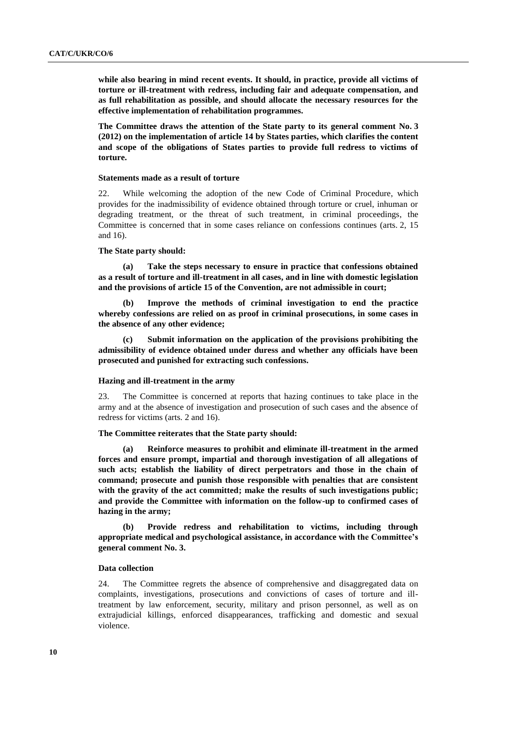**while also bearing in mind recent events. It should, in practice, provide all victims of torture or ill-treatment with redress, including fair and adequate compensation, and as full rehabilitation as possible, and should allocate the necessary resources for the effective implementation of rehabilitation programmes.**

**The Committee draws the attention of the State party to its general comment No. 3 (2012) on the implementation of article 14 by States parties, which clarifies the content and scope of the obligations of States parties to provide full redress to victims of torture.**

## **Statements made as a result of torture**

22. While welcoming the adoption of the new Code of Criminal Procedure, which provides for the inadmissibility of evidence obtained through torture or cruel, inhuman or degrading treatment, or the threat of such treatment, in criminal proceedings, the Committee is concerned that in some cases reliance on confessions continues (arts. 2, 15 and 16).

## **The State party should:**

**(a) Take the steps necessary to ensure in practice that confessions obtained as a result of torture and ill-treatment in all cases, and in line with domestic legislation and the provisions of article 15 of the Convention, are not admissible in court;** 

**(b) Improve the methods of criminal investigation to end the practice whereby confessions are relied on as proof in criminal prosecutions, in some cases in the absence of any other evidence;**

**(c) Submit information on the application of the provisions prohibiting the admissibility of evidence obtained under duress and whether any officials have been prosecuted and punished for extracting such confessions.**

# **Hazing and ill-treatment in the army**

23. The Committee is concerned at reports that hazing continues to take place in the army and at the absence of investigation and prosecution of such cases and the absence of redress for victims (arts. 2 and 16).

# **The Committee reiterates that the State party should:**

**(a) Reinforce measures to prohibit and eliminate ill-treatment in the armed forces and ensure prompt, impartial and thorough investigation of all allegations of such acts; establish the liability of direct perpetrators and those in the chain of command; prosecute and punish those responsible with penalties that are consistent with the gravity of the act committed; make the results of such investigations public; and provide the Committee with information on the follow-up to confirmed cases of hazing in the army;**

**(b) Provide redress and rehabilitation to victims, including through appropriate medical and psychological assistance, in accordance with the Committee's general comment No. 3.**

### **Data collection**

24. The Committee regrets the absence of comprehensive and disaggregated data on complaints, investigations, prosecutions and convictions of cases of torture and illtreatment by law enforcement, security, military and prison personnel, as well as on extrajudicial killings, enforced disappearances, trafficking and domestic and sexual violence.